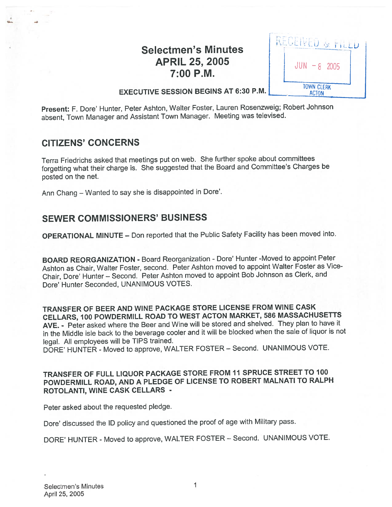# **Selectmen's Minutes** APRIL 25, 2005<br>7:00 P.M.

| JUN<br>$-8$ 2005                  |
|-----------------------------------|
| <b>TOWN CLERK</b><br><b>ACTON</b> |

## EXECUTIVE SESSION BEGINS AT 6:30 P.M.

Present: F. Dote' Hunter, Peter Ashton, Walter Foster, Lauren Rosenzweig; Robert Johnson absent, Town Manager and Assistant Town Manager. Meeting was televised.

# CITIZENS' CONCERNS

Terra Friedrichs asked that meetings pu<sup>t</sup> on web. She further spoke about committees forgetting what their charge is. She suggested that the Board and Committee's Charges be posted on the net.

Ann Chang – Wanted to say she is disappointed in Dore'.

# SEWER COMMISSIONERS' BUSINESS

OPERATIONAL MINUTE — Don reported that the Public Safety Facility has been moved into.

BOARD REORGANIZATION - Board Reorganization - Dore' Hunter -Moved to appoint Peter Ashton as Chair, Walter Foster, second. Peter Ashton moved to appoint Walter Foster as Vice Chair, Dore' Hunter — Second. Peter Ashton moved to appoint Bob Johnson as Clerk, and Dote' Hunter Seconded, UNANIMOUS VOTES.

TRANSFER OF BEER AND WINE PACKAGE STORE LICENSE FROM WINE CASK CELLARS, <sup>100</sup> POWDERMILL ROAD TO WEST ACTON MARKET, <sup>586</sup> MASSACHUSETTS AVE. - Peter asked where the Beer and Wine will be stored and shelved. They <sup>p</sup>lan to have it in the Middle isle back to the beverage cooler and it will be blocked when the sale of liquor is not legal. All employees will be TIPS trained.

DORE' HUNTER - Moved to approve, WALTER FOSTER — Second. UNANIMOUS VOTE.

## TRANSFER OF FULL LIQUOR PACKAGE STORE FROM <sup>11</sup> SPRUCE STREET TO <sup>100</sup> POWDERMILL ROAD, AND <sup>A</sup> PLEDGE OF LICENSE TO ROBERT MALNATI TO RALPH ROTOLANTI, WINE CASK CELLARS -

Peter asked about the requested pledge.

Dore' discussed the ID policy and questioned the proo<sup>f</sup> of age with Military pass.

DORE' HUNTER - Moved to approve, WALTER FOSTER — Second. UNANIMOUS VOTE.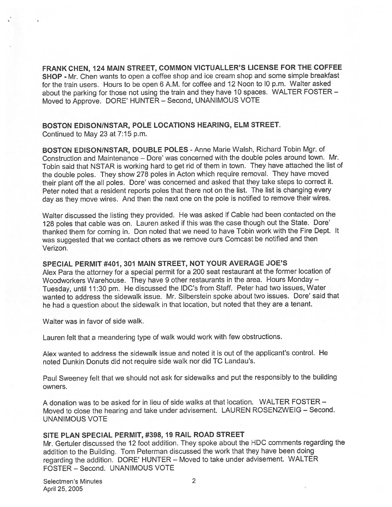FRANK CHEN, <sup>124</sup> MAIN STREET, COMMON VICTUALLER'S LICENSE FOR THE COFFEE SHOP - Mr. Chen wants to open <sup>a</sup> coffee shop and ice cream shop and some simple breakfast for the train users. Hours to be open <sup>6</sup> AM. for coffee and <sup>12</sup> Noon to <sup>10</sup> p.m. Walter asked about the parking for those not using the train and they have <sup>10</sup> spaces. WALTER FOSTER — Moved to Approve. DORE' HUNTER — Second, UNANIMOUS VOTE

#### BOSTON EDISON/NSTAR, POLE LOCATIONS HEARING, ELM STREET. Continued to May23 at 7:15 p.m.

BOSTON EDISON/NSTAR, DOUBLE POLES - Anne Marie Walsh, Richard Tobin Mgr. of Construction and Maintenance — Dore' was concerned with the double poles around town. Mr. Tobin said that NSTAR is working hard to get rid of them in town. They have attached the list of the double poles. They show <sup>278</sup> poles in Acton which require removal. They have moved their <sup>p</sup>lant off the all poles. Dore' was concerned and asked that they take steps to correct it. Peter noted that <sup>a</sup> resident reports poles that there not on the list. The list is changing every day as they move wires. And then the next one on the pole is notified to remove their wires.

Walter discussed the listing they provided. He was asked if Cable had been contacted on the <sup>128</sup> poles that cable was on. Lauren asked if this was the case though out the State. Dore' thanked them for coming in. Don noted that we need to have Tobin work with the Fire Dept. It was suggested that we contact others as we remove ours Comcast be notified and then Verizon.

#### SPECIAL PERMIT #401, 301 MAIN STREET, NOT YOUR AVERAGE JOE'S

Alex Para the attorney for <sup>a</sup> special permit for <sup>a</sup> <sup>200</sup> seat restaurant at the former location of Woodworkers Warehouse. They have <sup>9</sup> other restaurants in the area. Hours Monday — Tuesday, until 11:30 pm. He discussed the IDC's from Staff. Peter had two issues, Water wanted to address the sidewalk issue. Mr. Silberstein spoke about two issues. Dore' said that he had <sup>a</sup> question about the sidewalk in that location, but noted that they are <sup>a</sup> tenant.

Walter was in favor of side walk.

Lauren felt that <sup>a</sup> meandering type of walk would work with few obstructions.

Alex wanted to address the sidewalk issue and noted it is out of the applicant's control. He noted Dunkin Donuts did not require side walk nor did TC Landau's.

Paul Sweeney felt that we should not ask for sidewalks and pu<sup>t</sup> the responsibly to the building owners.

A donation was to be asked for in lieu of side walks at that location. WALTER FOSTER — Moved to close the hearing and take under advisement. LAUREN ROSENZWEIG — Second. UNANIMOUS VOTE

#### SITE PLAN SPECIAL PERMIT, #398, 19 RAIL ROAD STREET

Mr. Gertuler discussed the <sup>12</sup> foot addition. They spoke about the HDC comments regarding the addition to the Building. Tom Peterman discussed the work that they have been doing regarding the addition. DORE' HUNTER — Moved to take under advisement. WALTER FOSTER — Second. UNANIMOUS VOTE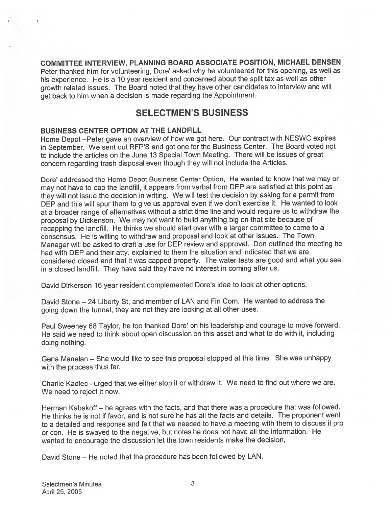COMMITTEE INTERVIEW, PLANNING BOARD ASSOCIATE POSITION, MICHAEL DENSEN Peter thanked him for volunteering, Dore' asked why he volunteered for this opening, as well as his experience. He is <sup>a</sup> <sup>10</sup> year resident and concerned about the split tax as well as other growth related issues. The Board noted that they have other candidates to interview and will ge<sup>t</sup> back to him when <sup>a</sup> decision is made regarding the Appointment.

# SELECTMEN'S BUSINESS

#### BUSINESS CENTER OPTION AT THE LANDFILL

Home Depot —Peter gave an overview of how we go<sup>t</sup> here. Our contract with NESWC expires in September. We sent out RFP'S and go<sup>t</sup> one for the Business Center. The Board voted not to include the articles on the June 13 Special Town Meeting. There will be issues of grea<sup>t</sup> concern regarding trash disposal even though they will not include the Articles.

Dore' addressed the Home Depot Business Center Option, He wanted to know that we may or may not have to cap the landfill, it appears from verbal from DEP are satisfied at this point as they will not issue the decision in writing. We will test the decision by asking for <sup>a</sup> permit from DEP and this will spur them to <sup>g</sup>ive us approva<sup>l</sup> even if we don't exercise it. He wanted to look at <sup>a</sup> broader range of alternatives without <sup>a</sup> strict time line and would require us to withdraw the proposa<sup>l</sup> by Dickenson. We may not want to build anything big on that site because of recapping the landfill. He thinks we should start over with <sup>a</sup> larger committee to come to <sup>a</sup> consensus. He is willing to withdraw and proposa<sup>l</sup> and look at other issues. The Town Manager will be asked to draft <sup>a</sup> use for DEP review and approval. Don outlined the meeting he had with DEP and their atty. explained to them the situation and indicated that we are considered closed and that it was capped properly. The water tests are good and what you see in <sup>a</sup> closed landfill. They have said they have no interest in coming after us.

David Dirkerson <sup>16</sup> year resident complemented Dore's idea to look at other options.

David Stone – 24 Liberty St, and member of LAN and Fin Com. He wanted to address the going down the tunnel, they are not they are looking at all other uses.

Paul Sweeney <sup>68</sup> Taylor, he too thanked Dore' on his leadership and courage to move forward. He said we need to think about open discussion on this asset and what to do with it, including doing nothing.

Gena Manalan — She would like to see this proposal stopped at this time. She was unhappy with the process thus far.

Charlie Kadlec —urge<sup>d</sup> that we either stop it or withdraw it. We need to find out where we are. We need to reject it now.

Herman Kabakoff — he agrees with the facts, and that there was <sup>a</sup> procedure that was followed. He thinks he is not if favor, and is not sure he has all the facts and details. The proponen<sup>t</sup> went to <sup>a</sup> detailed and response and felt that we needed to have <sup>a</sup> meeting with them to discuss it pro or con. He is swaye<sup>d</sup> to the negative, but notes he does not have all the information. He wanted to encourage the discussion let the town residents make the decision,

David Stone — He noted that the procedure has been followed by LAN.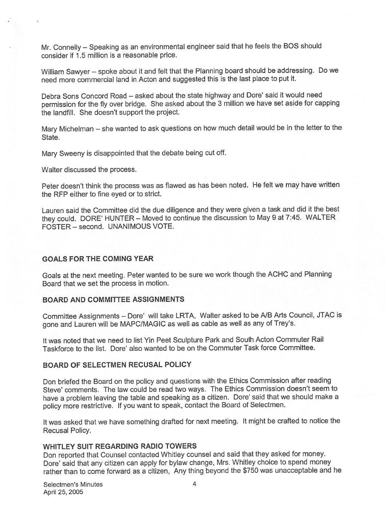Mr. Connelly — Speaking as an environmental engineer said that he feels the BOS should consider if 1.5 million is <sup>a</sup> reasonable price.

William Sawyer — spoke about it and felt that the Planning board should be addressing. Do we need more commercial land in Acton and suggested this is the last <sup>p</sup>lace to pu<sup>t</sup> it.

Debra Sons Concord Road — asked about the state highway and Dore' said it would need permission for the fly over bridge. She asked about the <sup>3</sup> million we have set aside for capping the landfill. She doesn't suppor<sup>t</sup> the project.

Mary Michelman — she wanted to ask questions on how much detail would be in the letter to the State.

Mary Sweeny is disappointed that the debate being cut off.

Walter discussed the process.

 $\mathcal{R}^{\prime}$ 

Peter doesn't think the process was as flawed as has been noted. He felt we may have written the RFP either to fine eyed or to strict.

Lauren said the Committee did the due diligence and they were <sup>g</sup>iven <sup>a</sup> task and did it the best they could. DORE' HUNTER — Moved to continue the discussion to May <sup>9</sup> at 7:45. WALTER FOSTER — second. UNANIMOUS VOTE.

#### GOALS FOR THE COMING YEAR

Goals at the next meeting. Peter wanted to be sure we work though the ACHC and Planning Board that we set the process in motion.

#### BOARD AND COMMITTEE ASSIGNMENTS

Committee Assignments — Dore' will take LRTA, Walter asked to be A/B Arts Council, JTAC is gone and Lauren will be MAPC/MAGIC as well as cable as well as any of Trey's.

It was noted that we need to list Yin Peet Sculpture Park and South Acton Commuter Rail Taskforce to the list. Dore' also wanted to be on the Commuter Task force Committee.

#### BOARD OF SELECTMEN RECUSAL POLICY

Don briefed the Board on the policy and questions with the Ethics Commission after reading Steve' comments. The law could be read two ways. The Ethics Commission doesn't seem to have <sup>a</sup> problem leaving the table and speaking as <sup>a</sup> citizen. Dore' said that we should make <sup>a</sup> policy more restrictive. If you want to speak, contact the Board of Selectmen.

It was asked that we have something drafted for next meeting. It might be crafted to notice the Recusal Policy.

#### WHITLEY SUIT REGARDING RADIO TOWERS

Don reported that Counsel contacted Whitley counsel and said that they asked for money. Dore' said that any citizen can apply for bylaw change, Mrs. Whitley choice to spen<sup>d</sup> money rather than to come forward as <sup>a</sup> citizen, Any thing beyond the \$750 was unacceptable and he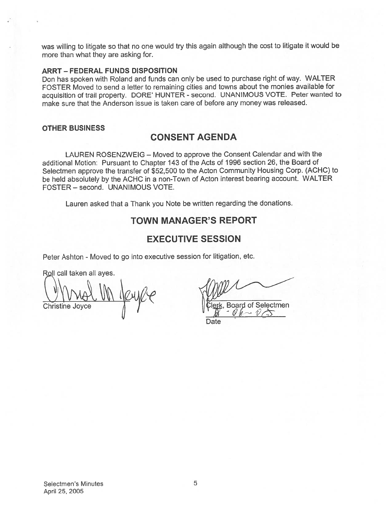was willing to litigate so that no one would try this again although the cost to litigate it would be more than what they are asking for.

#### ARRT — FEDERAL FUNDS DISPOSITION

Don has spoken with Roland and funds can only be used to purchase right of way. WALTER FOSTER Moved to send <sup>a</sup> letter to remaining cities and towns about the monies available for acquisition of trail property. DORE' HUNTER - second. UNANIMOUS VOTE. Peter wanted to make sure that the Anderson issue is taken care of before any money was released.

#### OTHER BUSINESS

## CONSENT AGENDA

LAUREN ROSENZWEIG — Moved to approve the Consent Calendar and with the additional Motion: Pursuant to Chapter <sup>143</sup> of the Acts of 1996 section 26, the Board of Selectmen approve the transfer of \$52,500 to the Acton Community Housing Corp. (ACHC) to be held absolutely by the ACHC in <sup>a</sup> non-Town of Acton interest bearing account. WALTER FOSTER — second. UNANIMOUS VOTE.

Lauren asked that <sup>a</sup> Thank you Note be written regarding the donations.

## TOWN MANAGER'S REPORT

## EXECUTIVE SESSION

Peter Ashton - Moved to go into executive session for litigation, etc.

Roll call taken all ayes.

 $241%$ Christine Joyce  $\begin{array}{ccc} \downarrow & \downarrow & \downarrow \end{array}$  (Clerk, Board of Selectmen

Date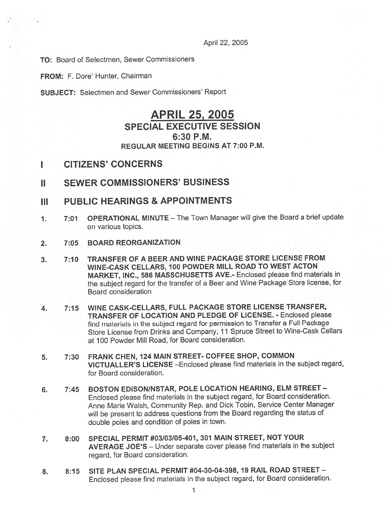April 22, 2005

TO: Board of Selectmen, Sewer Commissioners

FROM: F. Dore' Hunter, Chairman

SUBJECT: Selectmen and Sewer Commissioners' Report

# APRIL 25, 2005 SPECIAL EXECUTIVE SESSION 6:30 P.M. REGULAR MEETING BEGINS AT 7:00 P.M.

## I CITIZENS' CONCERNS

- II SEWER COMMISSIONERS' BUSINESS
- III PUBLIC HEARINGS & APPOINTMENTS
- 1. 7:01 OPERATIONAL MINUTE The Town Manager will <sup>g</sup>ive the Board <sup>a</sup> brief update on various topics.
- 2. 7:05 BOARD REORGANIZATION
- 3. 7:10 TRANSFER OF A BEER AND WINE PACKAGE STORE LICENSE FROM WINE-CASK CELLARS, 100 POWDER MILL ROAD TO WEST ACTON MARKET, INC., 586 MASSCHUSETTS AVE.- Enclosed please find materials in the subject regar<sup>d</sup> for the transfer of <sup>a</sup> Beer and Wine Package Store license, for Board consideration
- 4. 7:15 WINE CASK-CELLARS, FULL PACKAGE STORE LICENSE TRANSFER, TRANSFER OF LOCATION AND PLEDGE OF LICENSE. - Enclosed please find materials in the subject regar<sup>d</sup> for permission to Transfer <sup>a</sup> Full Package Store License from Drinks and Company, <sup>11</sup> Spruce Street to Wine-Cask Cellars at 100 Powder Mill Road, for Board consideration.
- 5. 7:30 FRANK CHEN, 124 MAIN STREET- COFFEE SHOP, COMMON VICTUALLER'S LICENSE - Enclosed please find materials in the subject regard, for Board consideration.
- 6. 7:45 BOSTON EDISON/NSTAR, POLE LOCATION HEARING, ELM STREET Enclosed <sup>p</sup>lease find materials in the subject regard, for Board consideration. Anne Marie Walsh, Community Rep. and Dick Tobin, Service Center Manager will be presen<sup>t</sup> to address questions from the Board regarding the status of double poles and condition of poles in town.
- 7. 8:00 SPECIAL PERMIT #03/03/05-401, 301 MAIN STREET, NOT YOUR AVERAGE JOE'S — Under separate cover <sup>p</sup>lease find materials in the subject regard, for Board consideration.
- 8. 8:15 SITE PLAN SPECIAL PERMIT #04-30-04-398, 19 RAIL ROAD STREET Enclosed <sup>p</sup>lease find materials in the subject regard, for Board consideration.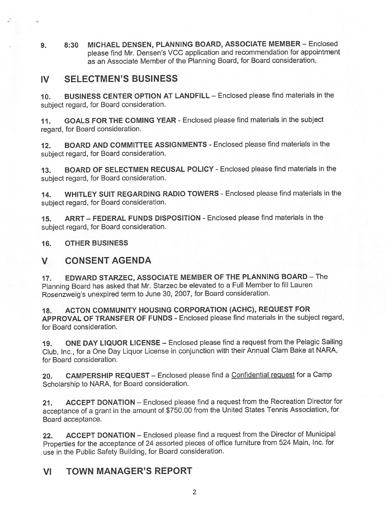9. 8:30 MICHAEL DENSEN, PLANNING BOARD, ASSOCIATE MEMBER - Enclosed <sup>p</sup>lease find Mr. Densen's VCC application and recommendation for appointment as an Associate Member of the Planning Board, for Board consideration.

# IV SELECTMEN'S BUSINESS

10. BUSINESS CENTER OPTION AT LANDFILL — Enclosed please find materials in the subject regard, for Board consideration.

11. GOALS FOR THE COMING YEAR - Enclosed please find materials in the subject regard, for Board consideration.

12. BOARD AND COMMITTEE ASSIGNMENTS -Enclosed please find materials in the subject regard, for Board consideration.

13. BOARD OF SELECTMEN RECUSAL POLICY -Enclosed please find materials in the subject regard, for Board consideration.

14. WHITLEY SUIT REGARDING RADIO TOWERS - Enclosed please find materials in the subject regard, for Board consideration.

15. ARRT — FEDERAL FUNDS DISPOSITION - Enclosed please find materials in the subject regard, for Board consideration.

16. OTHER BUSINESS

# V CONSENT AGENDA

17. EDWARD STARZEC, ASSOCIATE MEMBER OF THE PLANNING BOARD — The Planning Board has asked that Mr. Starzec be elevated to <sup>a</sup> Full Member to fill Lauren Rosenzweig's unexpired term to June 30, 2007, for Board consideration.

18. ACTON COMMUNITY HOUSING CORPORATION (ACHC), REQUEST FOR APPROVAL OF TRANSFER OF FUNDS - Enclosed please find materials in the subject regard, for Board consideration.

19. ONE DAY LIQUOR LICENSE — Enclosed <sup>p</sup>lease find <sup>a</sup> reques<sup>t</sup> from the Pelagic Sailing Club, Inc., for <sup>a</sup> One Day Liquor License in conjunction with their Annual Clam Bake at NARA, for Board consideration.

20. CAMPERSHIP REQUEST - Enclosed please find a Confidential request for a Camp Scholarship to NARA, for Board consideration.

21. ACCEPT DONATION — Enclosed <sup>p</sup>lease find <sup>a</sup> reques<sup>t</sup> from the Recreation Director for acceptance of <sup>a</sup> gran<sup>t</sup> in the amount of \$750.00 from the United States Tennis Association, for Board acceptance.

22. ACCEPT DONATION — Enclosed <sup>p</sup>lease find <sup>a</sup> reques<sup>t</sup> from the Director of Municipal Properties for the acceptance of <sup>24</sup> assorted <sup>p</sup>ieces of office furniture from <sup>524</sup> Main, Inc. for use in the Public Safety Building, for Board consideration.

# VI TOWN MANAGER'S REPORT